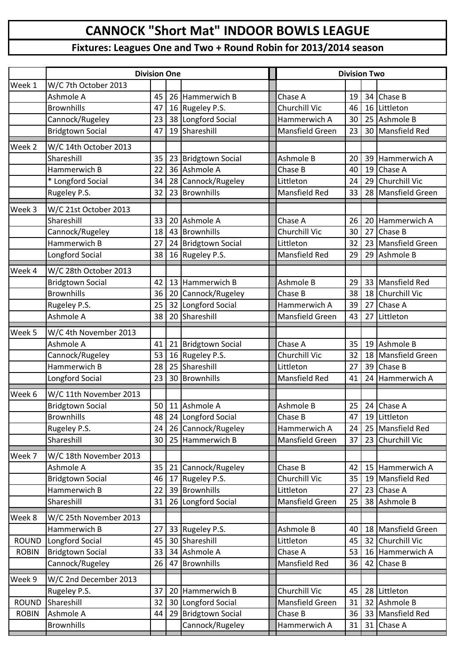## **CANNOCK "Short Mat" INDOOR BOWLS LEAGUE**

## **Fixtures: Leagues One and Two + Round Robin for 2013/2014 season**

|              | <b>Division One</b>     |    |  |                     |  | <b>Division Two</b>    |    |    |                        |  |
|--------------|-------------------------|----|--|---------------------|--|------------------------|----|----|------------------------|--|
| Week 1       | W/C 7th October 2013    |    |  |                     |  |                        |    |    |                        |  |
|              | Ashmole A               | 45 |  | 26 Hammerwich B     |  | Chase A                | 19 | 34 | Chase B                |  |
|              | <b>Brownhills</b>       | 47 |  | 16 Rugeley P.S.     |  | Churchill Vic          | 46 | 16 | Littleton              |  |
|              | Cannock/Rugeley         | 23 |  | 38 Longford Social  |  | Hammerwich A           | 30 | 25 | Ashmole B              |  |
|              | <b>Bridgtown Social</b> | 47 |  | 19 Shareshill       |  | <b>Mansfield Green</b> | 23 | 30 | <b>Mansfield Red</b>   |  |
| Week 2       | W/C 14th October 2013   |    |  |                     |  |                        |    |    |                        |  |
|              | Shareshill              | 35 |  | 23 Bridgtown Social |  | Ashmole B              | 20 | 39 | Hammerwich A           |  |
|              | Hammerwich B            | 22 |  | 36 Ashmole A        |  | Chase B                | 40 | 19 | Chase A                |  |
|              | * Longford Social       | 34 |  | 28 Cannock/Rugeley  |  | Littleton              | 24 | 29 | <b>Churchill Vic</b>   |  |
|              | Rugeley P.S.            | 32 |  | 23 Brownhills       |  | <b>Mansfield Red</b>   | 33 | 28 | <b>Mansfield Green</b> |  |
| Week 3       | W/C 21st October 2013   |    |  |                     |  |                        |    |    |                        |  |
|              | Shareshill              | 33 |  | 20 Ashmole A        |  | Chase A                | 26 | 20 | Hammerwich A           |  |
|              | Cannock/Rugeley         | 18 |  | 43 Brownhills       |  | Churchill Vic          | 30 | 27 | Chase B                |  |
|              | Hammerwich B            | 27 |  | 24 Bridgtown Social |  | Littleton              | 32 | 23 | <b>Mansfield Green</b> |  |
|              | Longford Social         | 38 |  | 16 Rugeley P.S.     |  | <b>Mansfield Red</b>   | 29 | 29 | Ashmole B              |  |
| Week 4       | W/C 28th October 2013   |    |  |                     |  |                        |    |    |                        |  |
|              | <b>Bridgtown Social</b> | 42 |  | 13 Hammerwich B     |  | Ashmole B              | 29 | 33 | <b>Mansfield Red</b>   |  |
|              | <b>Brownhills</b>       | 36 |  | 20 Cannock/Rugeley  |  | Chase B                | 38 | 18 | Churchill Vic          |  |
|              | Rugeley P.S.            | 25 |  | 32 Longford Social  |  | Hammerwich A           | 39 | 27 | Chase A                |  |
|              | Ashmole A               | 38 |  | 20 Shareshill       |  | Mansfield Green        | 43 | 27 | Littleton              |  |
|              |                         |    |  |                     |  |                        |    |    |                        |  |
| Week 5       | W/C 4th November 2013   |    |  |                     |  |                        |    |    |                        |  |
|              | Ashmole A               | 41 |  | 21 Bridgtown Social |  | Chase A                | 35 | 19 | Ashmole B              |  |
|              | Cannock/Rugeley         | 53 |  | 16 Rugeley P.S.     |  | Churchill Vic          | 32 | 18 | <b>Mansfield Green</b> |  |
|              | Hammerwich B            | 28 |  | 25 Shareshill       |  | Littleton              | 27 | 39 | Chase B                |  |
|              | Longford Social         | 23 |  | 30 Brownhills       |  | <b>Mansfield Red</b>   | 41 | 24 | Hammerwich A           |  |
| Week 6       | W/C 11th November 2013  |    |  |                     |  |                        |    |    |                        |  |
|              | <b>Bridgtown Social</b> | 50 |  | 11 Ashmole A        |  | Ashmole B              | 25 | 24 | <b>Chase A</b>         |  |
|              | <b>Brownhills</b>       | 48 |  | 24 Longford Social  |  | Chase B                | 47 |    | 19 Littleton           |  |
|              | Rugeley P.S.            | 24 |  | 26 Cannock/Rugeley  |  | Hammerwich A           | 24 |    | 25 Mansfield Red       |  |
|              | Shareshill              | 30 |  | 25 Hammerwich B     |  | Mansfield Green        | 37 | 23 | Churchill Vic          |  |
| Week 7       | W/C 18th November 2013  |    |  |                     |  |                        |    |    |                        |  |
|              | Ashmole A               | 35 |  | 21 Cannock/Rugeley  |  | Chase B                | 42 | 15 | Hammerwich A           |  |
|              | <b>Bridgtown Social</b> | 46 |  | 17 Rugeley P.S.     |  | Churchill Vic          | 35 | 19 | Mansfield Red          |  |
|              | Hammerwich B            | 22 |  | 39 Brownhills       |  | Littleton              | 27 | 23 | Chase A                |  |
|              | Shareshill              | 31 |  | 26 Longford Social  |  | Mansfield Green        | 25 | 38 | Ashmole B              |  |
| Week 8       | W/C 25th November 2013  |    |  |                     |  |                        |    |    |                        |  |
|              | Hammerwich B            | 27 |  | 33 Rugeley P.S.     |  | Ashmole B              | 40 | 18 | <b>Mansfield Green</b> |  |
| <b>ROUND</b> | Longford Social         | 45 |  | 30 Shareshill       |  | Littleton              | 45 | 32 | Churchill Vic          |  |
| <b>ROBIN</b> | <b>Bridgtown Social</b> | 33 |  | 34 Ashmole A        |  | Chase A                | 53 | 16 | Hammerwich A           |  |
|              | Cannock/Rugeley         | 26 |  | 47 Brownhills       |  | Mansfield Red          | 36 | 42 | Chase B                |  |
| Week 9       | W/C 2nd December 2013   |    |  |                     |  |                        |    |    |                        |  |
|              | Rugeley P.S.            | 37 |  | 20 Hammerwich B     |  | Churchill Vic          | 45 | 28 | Littleton              |  |
| <b>ROUND</b> | Shareshill              | 32 |  | 30 Longford Social  |  | Mansfield Green        | 31 | 32 | Ashmole B              |  |
| <b>ROBIN</b> | Ashmole A               | 44 |  | 29 Bridgtown Social |  | Chase B                | 36 | 33 | <b>Mansfield Red</b>   |  |
|              | <b>Brownhills</b>       |    |  | Cannock/Rugeley     |  | Hammerwich A           | 31 | 31 | Chase A                |  |
|              |                         |    |  |                     |  |                        |    |    |                        |  |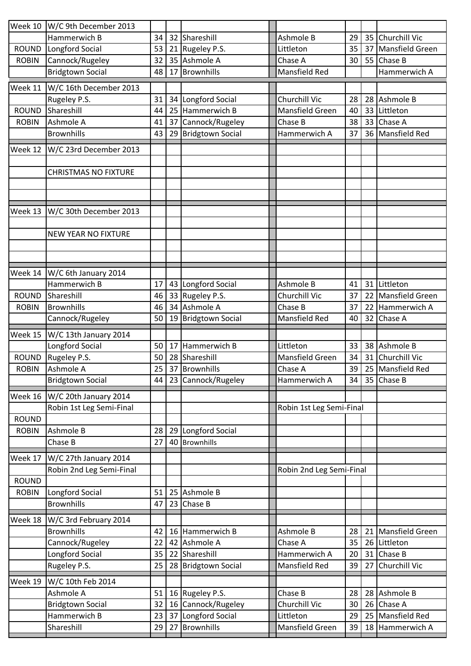| Week 10      | W/C 9th December 2013       |          |                                     |                          |    |    |                        |
|--------------|-----------------------------|----------|-------------------------------------|--------------------------|----|----|------------------------|
|              | Hammerwich B                | 34       | 32 Shareshill                       | Ashmole B                | 29 | 35 | <b>Churchill Vic</b>   |
| <b>ROUND</b> | Longford Social             | 53       | 21 Rugeley P.S.                     | Littleton                | 35 | 37 | <b>Mansfield Green</b> |
| <b>ROBIN</b> | Cannock/Rugeley             | 32       | 35 Ashmole A                        | Chase A                  | 30 | 55 | Chase B                |
|              | <b>Bridgtown Social</b>     | 48       | 17 Brownhills                       | <b>Mansfield Red</b>     |    |    | Hammerwich A           |
| Week 11      | W/C 16th December 2013      |          |                                     |                          |    |    |                        |
|              | Rugeley P.S.                | 31       | 34 Longford Social                  | Churchill Vic            | 28 | 28 | Ashmole B              |
| ROUND        | Shareshill                  | 44       | 25 Hammerwich B                     | Mansfield Green          | 40 | 33 | Littleton              |
| <b>ROBIN</b> | Ashmole A                   | 41       | 37 Cannock/Rugeley                  | Chase B                  | 38 | 33 | Chase A                |
|              | <b>Brownhills</b>           | 43       | 29 Bridgtown Social                 | Hammerwich A             | 37 | 36 | <b>Mansfield Red</b>   |
|              |                             |          |                                     |                          |    |    |                        |
| Week 12      | W/C 23rd December 2013      |          |                                     |                          |    |    |                        |
|              |                             |          |                                     |                          |    |    |                        |
|              | <b>CHRISTMAS NO FIXTURE</b> |          |                                     |                          |    |    |                        |
|              |                             |          |                                     |                          |    |    |                        |
|              |                             |          |                                     |                          |    |    |                        |
| Week 13      | W/C 30th December 2013      |          |                                     |                          |    |    |                        |
|              |                             |          |                                     |                          |    |    |                        |
|              | <b>NEW YEAR NO FIXTURE</b>  |          |                                     |                          |    |    |                        |
|              |                             |          |                                     |                          |    |    |                        |
|              |                             |          |                                     |                          |    |    |                        |
| Week 14      | W/C 6th January 2014        |          |                                     |                          |    |    |                        |
|              | Hammerwich B                | 17       | 43 Longford Social                  | Ashmole B                | 41 | 31 | Littleton              |
| <b>ROUND</b> | Shareshill                  | 46       | 33 Rugeley P.S.                     | Churchill Vic            | 37 | 22 | <b>Mansfield Green</b> |
| <b>ROBIN</b> | <b>Brownhills</b>           | 46       | 34 Ashmole A                        | Chase B                  | 37 | 22 | Hammerwich A           |
|              | Cannock/Rugeley             | 50       | 19 Bridgtown Social                 | <b>Mansfield Red</b>     | 40 | 32 | Chase A                |
| Week 15      | W/C 13th January 2014       |          |                                     |                          |    |    |                        |
|              | Longford Social             | 50       | 17 Hammerwich B                     | Littleton                | 33 | 38 | Ashmole B              |
| <b>ROUND</b> | Rugeley P.S.                | 50       | 28 Shareshill                       | Mansfield Green          | 34 | 31 | <b>Churchill Vic</b>   |
| <b>ROBIN</b> | Ashmole A                   | 25       | 37 Brownhills                       | Chase A                  | 39 | 25 | Mansfield Red          |
|              | <b>Bridgtown Social</b>     |          | 44   23   Cannock/Rugeley           | Hammerwich A             | 34 |    | 35 Chase B             |
|              |                             |          |                                     |                          |    |    |                        |
| Week 16      | W/C 20th January 2014       |          |                                     |                          |    |    |                        |
|              | Robin 1st Leg Semi-Final    |          |                                     | Robin 1st Leg Semi-Final |    |    |                        |
| <b>ROUND</b> |                             |          |                                     |                          |    |    |                        |
| <b>ROBIN</b> | Ashmole B<br>Chase B        | 28<br>27 | 29 Longford Social<br>40 Brownhills |                          |    |    |                        |
|              |                             |          |                                     |                          |    |    |                        |
| Week 17      | W/C 27th January 2014       |          |                                     |                          |    |    |                        |
|              | Robin 2nd Leg Semi-Final    |          |                                     | Robin 2nd Leg Semi-Final |    |    |                        |
| <b>ROUND</b> |                             |          |                                     |                          |    |    |                        |
| <b>ROBIN</b> | Longford Social             | 51       | 25 Ashmole B                        |                          |    |    |                        |
|              | <b>Brownhills</b>           | 47       | 23 Chase B                          |                          |    |    |                        |
| Week 18      | W/C 3rd February 2014       |          |                                     |                          |    |    |                        |
|              | <b>Brownhills</b>           | 42       | 16 Hammerwich B                     | Ashmole B                | 28 | 21 | Mansfield Green        |
|              | Cannock/Rugeley             | 22       | 42 Ashmole A                        | Chase A                  | 35 | 26 | Littleton              |
|              | Longford Social             | 35       | 22 Shareshill                       | Hammerwich A             | 20 | 31 | Chase B                |
|              | Rugeley P.S.                | 25       | 28 Bridgtown Social                 | Mansfield Red            | 39 | 27 | Churchill Vic          |
| Week 19      | W/C 10th Feb 2014           |          |                                     |                          |    |    |                        |
|              | Ashmole A                   | 51       | 16 Rugeley P.S.                     | Chase B                  | 28 | 28 | Ashmole B              |
|              | <b>Bridgtown Social</b>     | 32       | 16 Cannock/Rugeley                  | Churchill Vic            | 30 | 26 | Chase A                |
|              | Hammerwich B                | 23       | 37 Longford Social                  | Littleton                | 29 | 25 | <b>Mansfield Red</b>   |
|              | Shareshill                  | 29       | 27 Brownhills                       | Mansfield Green          | 39 | 18 | Hammerwich A           |
|              |                             |          |                                     |                          |    |    |                        |